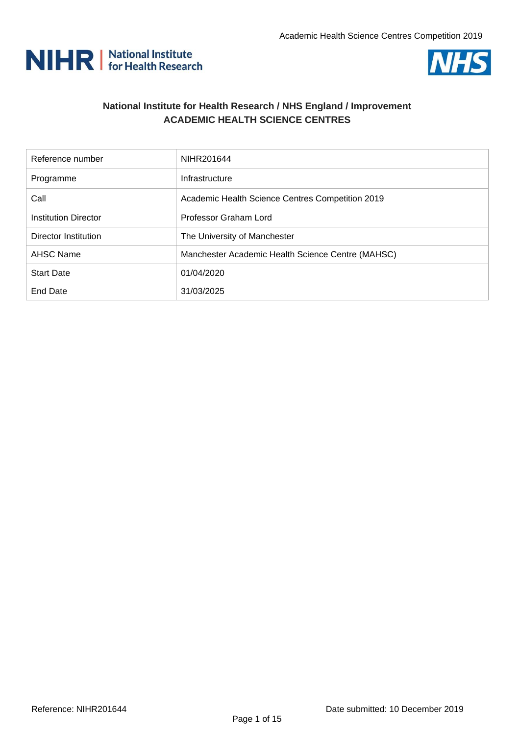



## **National Institute for Health Research / NHS England / Improvement ACADEMIC HEALTH SCIENCE CENTRES**

| Reference number            | NIHR201644                                        |
|-----------------------------|---------------------------------------------------|
| Programme                   | Infrastructure                                    |
| Call                        | Academic Health Science Centres Competition 2019  |
| Institution Director        | Professor Graham Lord                             |
| <b>Director Institution</b> | The University of Manchester                      |
| <b>AHSC Name</b>            | Manchester Academic Health Science Centre (MAHSC) |
| <b>Start Date</b>           | 01/04/2020                                        |
| End Date                    | 31/03/2025                                        |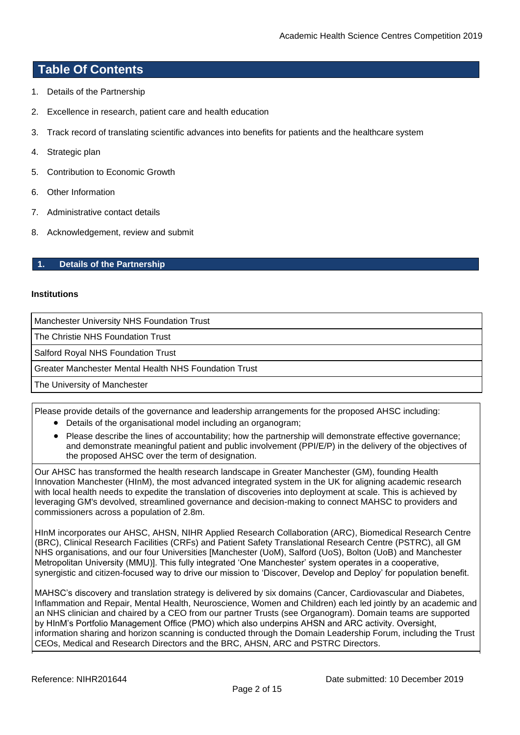## **Table Of Contents**

- 1. [Details of the](#page-1-0) Partnership
- 2. [Excellence in research, patient care and health](#page-4-0) education
- 3. [Track record of translating scientific advances into benefits for patients and the healthcare](#page-7-0) system
- 4. [Strategic plan](#page-8-0)
- 5. [Contribution to Economic Growth](#page-12-0)
- 6. Other [Information](#page-13-0)
- 7. [Administrative contact details](#page-14-0)
- 8. [Acknowledgement, review and](#page-14-1) submit

#### <span id="page-1-0"></span>**1. Details of the Partnership**

#### **Institutions**

Manchester University NHS Foundation Trust

The Christie NHS Foundation Trust

Salford Royal NHS Foundation Trust

Greater Manchester Mental Health NHS Foundation Trust

The University of Manchester

Please provide details of the governance and leadership arrangements for the proposed AHSC including:

- Details of the organisational model including an organogram;
- Please describe the lines of accountability; how the partnership will demonstrate effective governance; and demonstrate meaningful patient and public involvement (PPI/E/P) in the delivery of the objectives of the proposed AHSC over the term of designation.

Our AHSC has transformed the health research landscape in Greater Manchester (GM), founding Health Innovation Manchester (HInM), the most advanced integrated system in the UK for aligning academic research with local health needs to expedite the translation of discoveries into deployment at scale. This is achieved by leveraging GM's devolved, streamlined governance and decision-making to connect MAHSC to providers and commissioners across a population of 2.8m.

HInM incorporates our AHSC, AHSN, NIHR Applied Research Collaboration (ARC), Biomedical Research Centre (BRC), Clinical Research Facilities (CRFs) and Patient Safety Translational Research Centre (PSTRC), all GM NHS organisations, and our four Universities [Manchester (UoM), Salford (UoS), Bolton (UoB) and Manchester Metropolitan University (MMU)]. This fully integrated 'One Manchester' system operates in a cooperative, synergistic and citizen-focused way to drive our mission to 'Discover, Develop and Deploy' for population benefit.

MAHSC's discovery and translation strategy is delivered by six domains (Cancer, Cardiovascular and Diabetes, Inflammation and Repair, Mental Health, Neuroscience, Women and Children) each led jointly by an academic and an NHS clinician and chaired by a CEO from our partner Trusts (see Organogram). Domain teams are supported by HInM's Portfolio Management Office (PMO) which also underpins AHSN and ARC activity. Oversight, information sharing and horizon scanning is conducted through the Domain Leadership Forum, including the Trust CEOs, Medical and Research Directors and the BRC, AHSN, ARC and PSTRC Directors.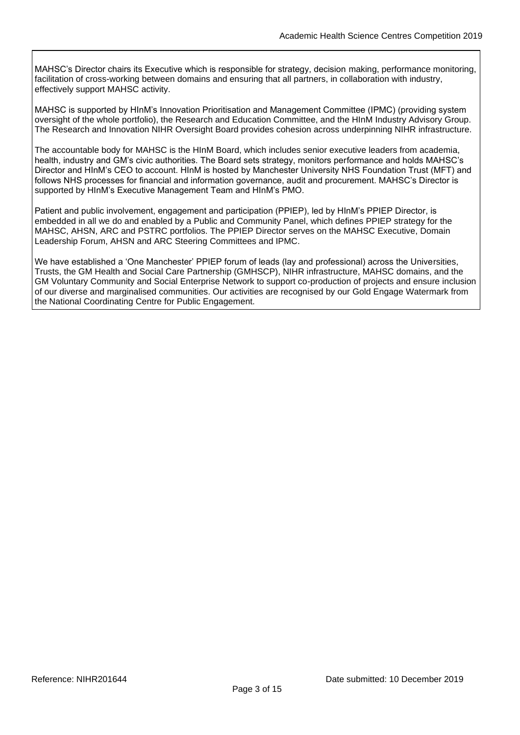MAHSC's Director chairs its Executive which is responsible for strategy, decision making, performance monitoring, facilitation of cross-working between domains and ensuring that all partners, in collaboration with industry, effectively support MAHSC activity.

MAHSC is supported by HInM's Innovation Prioritisation and Management Committee (IPMC) (providing system oversight of the whole portfolio), the Research and Education Committee, and the HInM Industry Advisory Group. The Research and Innovation NIHR Oversight Board provides cohesion across underpinning NIHR infrastructure.

The accountable body for MAHSC is the HInM Board, which includes senior executive leaders from academia, health, industry and GM's civic authorities. The Board sets strategy, monitors performance and holds MAHSC's Director and HInM's CEO to account. HInM is hosted by Manchester University NHS Foundation Trust (MFT) and follows NHS processes for financial and information governance, audit and procurement. MAHSC's Director is supported by HInM's Executive Management Team and HInM's PMO.

Patient and public involvement, engagement and participation (PPIEP), led by HInM's PPIEP Director, is embedded in all we do and enabled by a Public and Community Panel, which defines PPIEP strategy for the MAHSC, AHSN, ARC and PSTRC portfolios. The PPIEP Director serves on the MAHSC Executive, Domain Leadership Forum, AHSN and ARC Steering Committees and IPMC.

We have established a 'One Manchester' PPIEP forum of leads (lay and professional) across the Universities, Trusts, the GM Health and Social Care Partnership (GMHSCP), NIHR infrastructure, MAHSC domains, and the GM Voluntary Community and Social Enterprise Network to support co-production of projects and ensure inclusion of our diverse and marginalised communities. Our activities are recognised by our Gold Engage Watermark from the National Coordinating Centre for Public Engagement.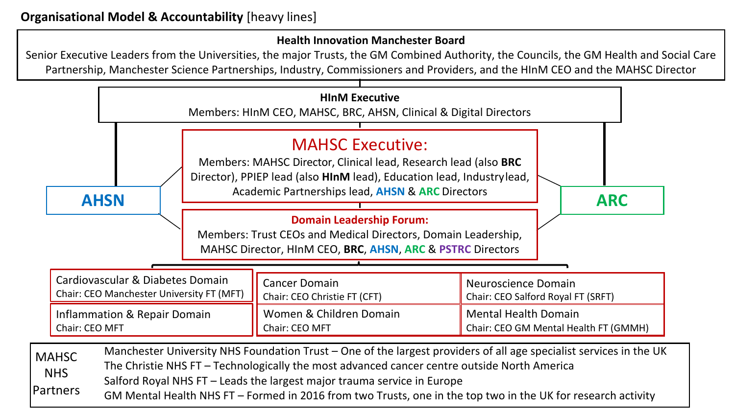# **Health Innovation Manchester Board**

Senior Executive Leaders from the Universities, the major Trusts, the GM Combined Authority, the Councils, the GM Health and Social Care Partnership, Manchester Science Partnerships, Industry, Commissioners and Providers, and the HInM CEO and the MAHSC Director

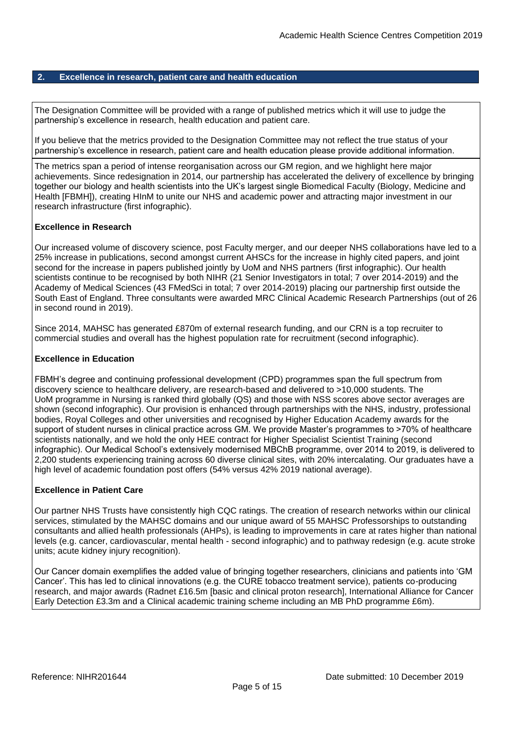#### <span id="page-4-0"></span>**2. Excellence in research, patient care and health education**

The Designation Committee will be provided with a range of published metrics which it will use to judge the partnership's excellence in research, health education and patient care.

If you believe that the metrics provided to the Designation Committee may not reflect the true status of your partnership's excellence in research, patient care and health education please provide additional information.

The metrics span a period of intense reorganisation across our GM region, and we highlight here major achievements. Since redesignation in 2014, our partnership has accelerated the delivery of excellence by bringing together our biology and health scientists into the UK's largest single Biomedical Faculty (Biology, Medicine and Health [FBMH]), creating HInM to unite our NHS and academic power and attracting major investment in our research infrastructure (first infographic).

#### **Excellence in Research**

Our increased volume of discovery science, post Faculty merger, and our deeper NHS collaborations have led to a 25% increase in publications, second amongst current AHSCs for the increase in highly cited papers, and joint second for the increase in papers published jointly by UoM and NHS partners (first infographic). Our health scientists continue to be recognised by both NIHR (21 Senior Investigators in total; 7 over 2014-2019) and the Academy of Medical Sciences (43 FMedSci in total; 7 over 2014-2019) placing our partnership first outside the South East of England. Three consultants were awarded MRC Clinical Academic Research Partnerships (out of 26 in second round in 2019).

Since 2014, MAHSC has generated £870m of external research funding, and our CRN is a top recruiter to commercial studies and overall has the highest population rate for recruitment (second infographic).

#### **Excellence in Education**

FBMH's degree and continuing professional development (CPD) programmes span the full spectrum from discovery science to healthcare delivery, are research-based and delivered to >10,000 students. The UoM programme in Nursing is ranked third globally (QS) and those with NSS scores above sector averages are shown (second infographic). Our provision is enhanced through partnerships with the NHS, industry, professional bodies, Royal Colleges and other universities and recognised by Higher Education Academy awards for the support of student nurses in clinical practice across GM. We provide Master's programmes to >70% of healthcare scientists nationally, and we hold the only HEE contract for Higher Specialist Scientist Training (second infographic). Our Medical School's extensively modernised MBChB programme, over 2014 to 2019, is delivered to 2,200 students experiencing training across 60 diverse clinical sites, with 20% intercalating. Our graduates have a high level of academic foundation post offers (54% versus 42% 2019 national average).

#### **Excellence in Patient Care**

Our partner NHS Trusts have consistently high CQC ratings. The creation of research networks within our clinical services, stimulated by the MAHSC domains and our unique award of 55 MAHSC Professorships to outstanding consultants and allied health professionals (AHPs), is leading to improvements in care at rates higher than national levels (e.g. cancer, cardiovascular, mental health - second infographic) and to pathway redesign (e.g. acute stroke units; acute kidney injury recognition).

Our Cancer domain exemplifies the added value of bringing together researchers, clinicians and patients into 'GM Cancer'. This has led to clinical innovations (e.g. the CURE tobacco treatment service), patients co-producing research, and major awards (Radnet £16.5m [basic and clinical proton research], International Alliance for Cancer Early Detection £3.3m and a Clinical academic training scheme including an MB PhD programme £6m).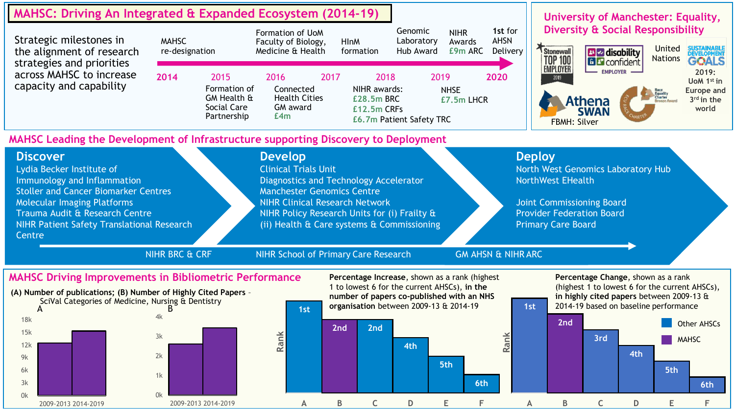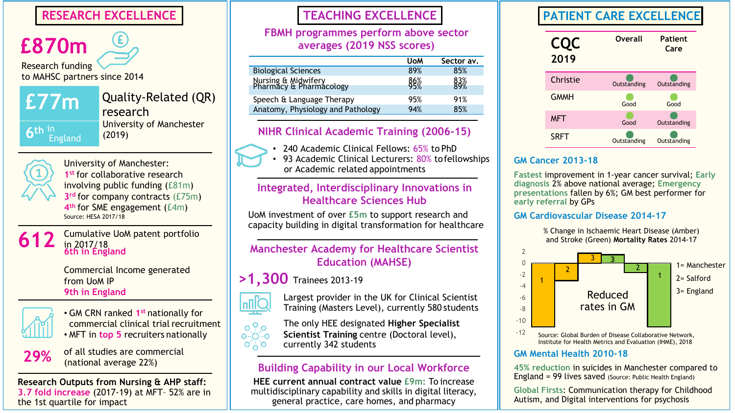**£870m** Research funding to MAHSC partners since 2014

**£77m**

England

Quality-Related (QR) research University of Manchester (2019)

**6 th** in

University of Manchester: **1st** for collaborative research involving public funding (£81m) **3rd** for company contracts (£75m) **4th** for SME engagement (£4m) Source: HESA 2017/18

# **612**

Cumulative UoM patent portfolio in 2017/18 **6th in England**

Commercial Income generated from UoM IP **9th in England**



• GM CRN ranked **1st** nationally for commercial clinical trial recruitment



of all studies are commercial (national average 22%)

**Research Outputs from Nursing & AHP staff: 3.7 fold increase** (2017-19) at MFT– 52% are in the 1st quartile for impact

# **FBMH programmes perform above sector averages (2019 NSS scores)**

|                                                | <b>UoM</b> | Sector av. |
|------------------------------------------------|------------|------------|
| <b>Biological Sciences</b>                     | 89%        | 85%        |
| Nursing & Midwifery<br>Pharmacy & Pharmacology | 86%<br>95% | 83%<br>89% |
| Speech & Language Therapy                      | 95%        | 91%        |
| Anatomy, Physiology and Pathology              | 94%        | 85%        |
|                                                |            |            |

# **NIHR Clinical Academic Training (2006-15)**

- 240 Academic Clinical Fellows: 65% to PhD
- 93 Academic Clinical Lecturers: 80% to fellowships or Academic related appointments

# **Integrated, Interdisciplinary Innovations in Healthcare Sciences Hub**

UoM investment of over **£5m** to support research and capacity building in digital transformation for healthcare

# **Manchester Academy for Healthcare Scientist Education (MAHSE)**

# **>1,300** Trainees 2013-19



Largest provider in the UK for Clinical Scientist Training (Masters Level), currently 580 students

The only HEE designated **Higher Specialist**  $0<sup>0</sup>$ • MFT in top 5 recruiters nationally **Supplemance Scientist Training** centre (Doctoral level),  $O^+$   $O^$ currently 342 students

# **Building Capability in our Local Workforce**

**HEE current annual contract value £9m:** To increase multidisciplinary capability and skills in digital literacy, general practice, care homes, and pharmacy

# **RESEARCH EXCELLENCE TEACHING EXCELLENCE PATIENT CARE EXCELLENCE**



# **GM Cancer 2013-18**

**Fastest** improvement in 1-year cancer survival; **Early diagnosis** 2% above national average; **Emergency presentations** fallen by 6%; GM best performer for **early referral** by GPs

# **GM Cardiovascular Disease 2014-17**

% Change in Ischaemic Heart Disease (Amber) and Stroke (Green) **Mortality Rates** 2014-17



Institute for Health Metrics and Evaluation (IHME), 2018

## **GM Mental Health 2010-18**

**45% reduction** in suicides in Manchester compared to England = 99 lives saved (Source: Public Health England)

**Global Firsts**: Communication therapy for Childhood Autism, and Digital interventions for psychosis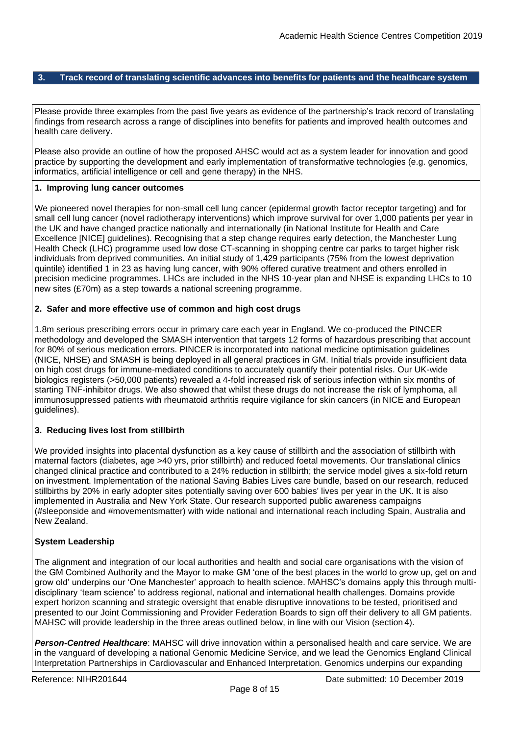#### <span id="page-7-0"></span>**3. Track record of translating scientific advances into benefits for patients and the healthcare system**

Please provide three examples from the past five years as evidence of the partnership's track record of translating findings from research across a range of disciplines into benefits for patients and improved health outcomes and health care delivery.

Please also provide an outline of how the proposed AHSC would act as a system leader for innovation and good practice by supporting the development and early implementation of transformative technologies (e.g. genomics, informatics, artificial intelligence or cell and gene therapy) in the NHS.

#### **1. Improving lung cancer outcomes**

We pioneered novel therapies for non-small cell lung cancer (epidermal growth factor receptor targeting) and for small cell lung cancer (novel radiotherapy interventions) which improve survival for over 1,000 patients per year in the UK and have changed practice nationally and internationally (in National Institute for Health and Care Excellence [NICE] guidelines). Recognising that a step change requires early detection, the Manchester Lung Health Check (LHC) programme used low dose CT-scanning in shopping centre car parks to target higher risk individuals from deprived communities. An initial study of 1,429 participants (75% from the lowest deprivation quintile) identified 1 in 23 as having lung cancer, with 90% offered curative treatment and others enrolled in precision medicine programmes. LHCs are included in the NHS 10-year plan and NHSE is expanding LHCs to 10 new sites (£70m) as a step towards a national screening programme.

#### **2. Safer and more effective use of common and high cost drugs**

1.8m serious prescribing errors occur in primary care each year in England. We co-produced the PINCER methodology and developed the SMASH intervention that targets 12 forms of hazardous prescribing that account for 80% of serious medication errors. PINCER is incorporated into national medicine optimisation guidelines (NICE, NHSE) and SMASH is being deployed in all general practices in GM. Initial trials provide insufficient data on high cost drugs for immune-mediated conditions to accurately quantify their potential risks. Our UK-wide biologics registers (>50,000 patients) revealed a 4-fold increased risk of serious infection within six months of starting TNF-inhibitor drugs. We also showed that whilst these drugs do not increase the risk of lymphoma, all immunosuppressed patients with rheumatoid arthritis require vigilance for skin cancers (in NICE and European guidelines).

#### **3. Reducing lives lost from stillbirth**

We provided insights into placental dysfunction as a key cause of stillbirth and the association of stillbirth with maternal factors (diabetes, age >40 yrs, prior stillbirth) and reduced foetal movements. Our translational clinics changed clinical practice and contributed to a 24% reduction in stillbirth; the service model gives a six-fold return on investment. Implementation of the national Saving Babies Lives care bundle, based on our research, reduced stillbirths by 20% in early adopter sites potentially saving over 600 babies' lives per year in the UK. It is also implemented in Australia and New York State. Our research supported public awareness campaigns (#sleeponside and #movementsmatter) with wide national and international reach including Spain, Australia and New Zealand.

#### **System Leadership**

The alignment and integration of our local authorities and health and social care organisations with the vision of the GM Combined Authority and the Mayor to make GM 'one of the best places in the world to grow up, get on and grow old' underpins our 'One Manchester' approach to health science. MAHSC's domains apply this through multidisciplinary 'team science' to address regional, national and international health challenges. Domains provide expert horizon scanning and strategic oversight that enable disruptive innovations to be tested, prioritised and presented to our Joint Commissioning and Provider Federation Boards to sign off their delivery to all GM patients. MAHSC will provide leadership in the three areas outlined below, in line with our Vision (section 4).

*Person-Centred Healthcare*: MAHSC will drive innovation within a personalised health and care service. We are in the vanguard of developing a national Genomic Medicine Service, and we lead the Genomics England Clinical Interpretation Partnerships in Cardiovascular and Enhanced Interpretation. Genomics underpins our expanding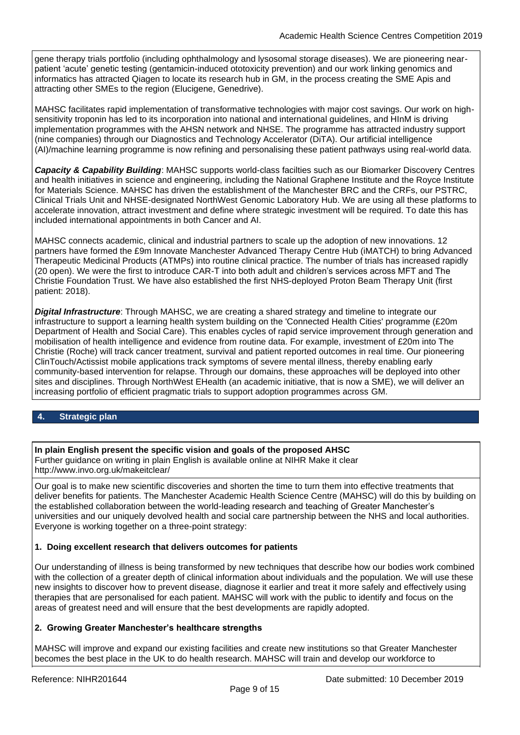gene therapy trials portfolio (including ophthalmology and lysosomal storage diseases). We are pioneering nearpatient 'acute' genetic testing (gentamicin-induced ototoxicity prevention) and our work linking genomics and informatics has attracted Qiagen to locate its research hub in GM, in the process creating the SME Apis and attracting other SMEs to the region (Elucigene, Genedrive).

MAHSC facilitates rapid implementation of transformative technologies with major cost savings. Our work on highsensitivity troponin has led to its incorporation into national and international guidelines, and HInM is driving implementation programmes with the AHSN network and NHSE. The programme has attracted industry support (nine companies) through our Diagnostics and Technology Accelerator (DiTA). Our artificial intelligence (AI)/machine learning programme is now refining and personalising these patient pathways using real-world data.

*Capacity & Capability Building*: MAHSC supports world-class facilties such as our Biomarker Discovery Centres and health initiatives in science and engineering, including the National Graphene Institute and the Royce Institute for Materials Science. MAHSC has driven the establishment of the Manchester BRC and the CRFs, our PSTRC, Clinical Trials Unit and NHSE-designated NorthWest Genomic Laboratory Hub. We are using all these platforms to accelerate innovation, attract investment and define where strategic investment will be required. To date this has included international appointments in both Cancer and AI.

MAHSC connects academic, clinical and industrial partners to scale up the adoption of new innovations. 12 partners have formed the £9m Innovate Manchester Advanced Therapy Centre Hub (iMATCH) to bring Advanced Therapeutic Medicinal Products (ATMPs) into routine clinical practice. The number of trials has increased rapidly (20 open). We were the first to introduce CAR-T into both adult and children's services across MFT and The Christie Foundation Trust. We have also established the first NHS-deployed Proton Beam Therapy Unit (first patient: 2018).

*Digital Infrastructure*: Through MAHSC, we are creating a shared strategy and timeline to integrate our infrastructure to support a learning health system building on the 'Connected Health Cities' programme (£20m Department of Health and Social Care). This enables cycles of rapid service improvement through generation and mobilisation of health intelligence and evidence from routine data. For example, investment of £20m into The Christie (Roche) will track cancer treatment, survival and patient reported outcomes in real time. Our pioneering ClinTouch/Actissist mobile applications track symptoms of severe mental illness, thereby enabling early community-based intervention for relapse. Through our domains, these approaches will be deployed into other sites and disciplines. Through NorthWest EHealth (an academic initiative, that is now a SME), we will deliver an increasing portfolio of efficient pragmatic trials to support adoption programmes across GM.

#### <span id="page-8-0"></span>**4. Strategic plan**

#### **In plain English present the specific vision and goals of the proposed AHSC**

Further guidance on writing in plain English is available online at NIHR Make it clear <http://www.invo.org.uk/makeitclear/>

Our goal is to make new scientific discoveries and shorten the time to turn them into effective treatments that deliver benefits for patients. The Manchester Academic Health Science Centre (MAHSC) will do this by building on the established collaboration between the world-leading research and teaching of Greater Manchester's universities and our uniquely devolved health and social care partnership between the NHS and local authorities. Everyone is working together on a three-point strategy:

#### **1. Doing excellent research that delivers outcomes for patients**

Our understanding of illness is being transformed by new techniques that describe how our bodies work combined with the collection of a greater depth of clinical information about individuals and the population. We will use these new insights to discover how to prevent disease, diagnose it earlier and treat it more safely and effectively using therapies that are personalised for each patient. MAHSC will work with the public to identify and focus on the areas of greatest need and will ensure that the best developments are rapidly adopted.

#### **2. Growing Greater Manchester's healthcare strengths**

MAHSC will improve and expand our existing facilities and create new institutions so that Greater Manchester becomes the best place in the UK to do health research. MAHSC will train and develop our workforce to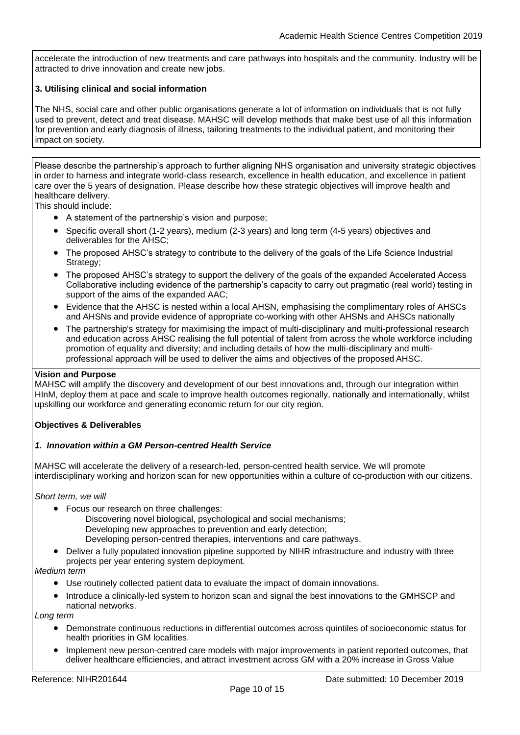accelerate the introduction of new treatments and care pathways into hospitals and the community. Industry will be attracted to drive innovation and create new jobs.

#### **3. Utilising clinical and social information**

The NHS, social care and other public organisations generate a lot of information on individuals that is not fully used to prevent, detect and treat disease. MAHSC will develop methods that make best use of all this information for prevention and early diagnosis of illness, tailoring treatments to the individual patient, and monitoring their impact on society.

Please describe the partnership's approach to further aligning NHS organisation and university strategic objectives in order to harness and integrate world-class research, excellence in health education, and excellence in patient care over the 5 years of designation. Please describe how these strategic objectives will improve health and healthcare delivery.

This should include:

- A statement of the partnership's vision and purpose;
- Specific overall short (1-2 years), medium (2-3 years) and long term (4-5 years) objectives and deliverables for the AHSC;
- The proposed AHSC's strategy to contribute to the delivery of the goals of the Life Science Industrial Strategy;
- The proposed AHSC's strategy to support the delivery of the goals of the expanded Accelerated Access Collaborative including evidence of the partnership's capacity to carry out pragmatic (real world) testing in support of the aims of the expanded AAC;
- Evidence that the AHSC is nested within a local AHSN, emphasising the complimentary roles of AHSCs and AHSNs and provide evidence of appropriate co-working with other AHSNs and AHSCs nationally
- The partnership's strategy for maximising the impact of multi-disciplinary and multi-professional research and education across AHSC realising the full potential of talent from across the whole workforce including promotion of equality and diversity; and including details of how the multi-disciplinary and multiprofessional approach will be used to deliver the aims and objectives of the proposed AHSC.

#### **Vision and Purpose**

MAHSC will amplify the discovery and development of our best innovations and, through our integration within HInM, deploy them at pace and scale to improve health outcomes regionally, nationally and internationally, whilst upskilling our workforce and generating economic return for our city region.

#### **Objectives & Deliverables**

#### *1. Innovation within a GM Person-centred Health Service*

MAHSC will accelerate the delivery of a research-led, person-centred health service. We will promote interdisciplinary working and horizon scan for new opportunities within a culture of co-production with our citizens.

*Short term, we will*

- Focus our research on three challenges:
	- Discovering novel biological, psychological and social mechanisms;
		- Developing new approaches to prevention and early detection;
		- Developing person-centred therapies, interventions and care pathways.
- Deliver a fully populated innovation pipeline supported by NIHR infrastructure and industry with three projects per year entering system deployment.

#### *Medium term*

- Use routinely collected patient data to evaluate the impact of domain innovations.
- Introduce a clinically-led system to horizon scan and signal the best innovations to the GMHSCP and national networks.

*Long term*

- Demonstrate continuous reductions in differential outcomes across quintiles of socioeconomic status for health priorities in GM localities.
- Implement new person-centred care models with major improvements in patient reported outcomes, that deliver healthcare efficiencies, and attract investment across GM with a 20% increase in Gross Value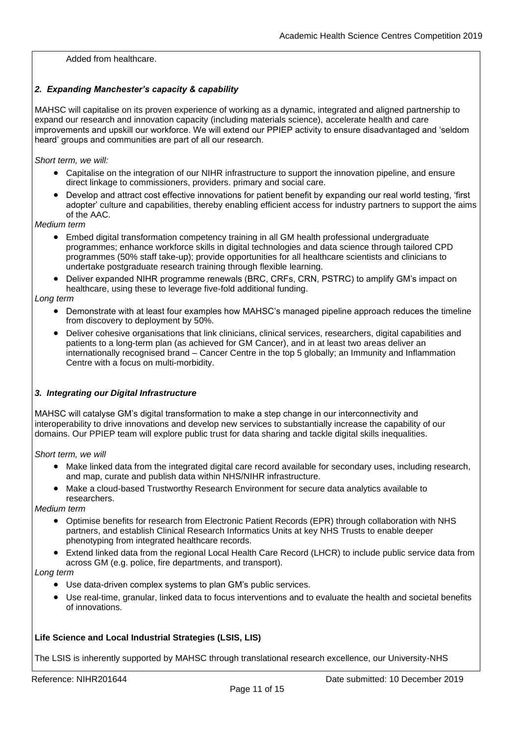Added from healthcare.

#### *2. Expanding Manchester's capacity & capability*

MAHSC will capitalise on its proven experience of working as a dynamic, integrated and aligned partnership to expand our research and innovation capacity (including materials science), accelerate health and care improvements and upskill our workforce. We will extend our PPIEP activity to ensure disadvantaged and 'seldom heard' groups and communities are part of all our research.

*Short term, we will:*

- Capitalise on the integration of our NIHR infrastructure to support the innovation pipeline, and ensure direct linkage to commissioners, providers. primary and social care.
- Develop and attract cost effective innovations for patient benefit by expanding our real world testing, 'first adopter' culture and capabilities, thereby enabling efficient access for industry partners to support the aims of the AAC.

*Medium term*

- Embed digital transformation competency training in all GM health professional undergraduate programmes; enhance workforce skills in digital technologies and data science through tailored CPD programmes (50% staff take-up); provide opportunities for all healthcare scientists and clinicians to undertake postgraduate research training through flexible learning.
- Deliver expanded NIHR programme renewals (BRC, CRFs, CRN, PSTRC) to amplify GM's impact on healthcare, using these to leverage five-fold additional funding.

*Long term*

- Demonstrate with at least four examples how MAHSC's managed pipeline approach reduces the timeline from discovery to deployment by 50%.
- Deliver cohesive organisations that link clinicians, clinical services, researchers, digital capabilities and patients to a long-term plan (as achieved for GM Cancer), and in at least two areas deliver an internationally recognised brand – Cancer Centre in the top 5 globally; an Immunity and Inflammation Centre with a focus on multi-morbidity.

#### *3. Integrating our Digital Infrastructure*

MAHSC will catalyse GM's digital transformation to make a step change in our interconnectivity and interoperability to drive innovations and develop new services to substantially increase the capability of our domains. Our PPIEP team will explore public trust for data sharing and tackle digital skills inequalities.

*Short term, we will*

- Make linked data from the integrated digital care record available for secondary uses, including research, and map, curate and publish data within NHS/NIHR infrastructure.
- Make a cloud-based Trustworthy Research Environment for secure data analytics available to researchers.

*Medium term*

- Optimise benefits for research from Electronic Patient Records (EPR) through collaboration with NHS partners, and establish Clinical Research Informatics Units at key NHS Trusts to enable deeper phenotyping from integrated healthcare records.
- Extend linked data from the regional Local Health Care Record (LHCR) to include public service data from across GM (e.g. police, fire departments, and transport).

*Long term*

- Use data-driven complex systems to plan GM's public services.
- Use real-time, granular, linked data to focus interventions and to evaluate the health and societal benefits of innovations.

#### **Life Science and Local Industrial Strategies (LSIS, LIS)**

The LSIS is inherently supported by MAHSC through translational research excellence, our University-NHS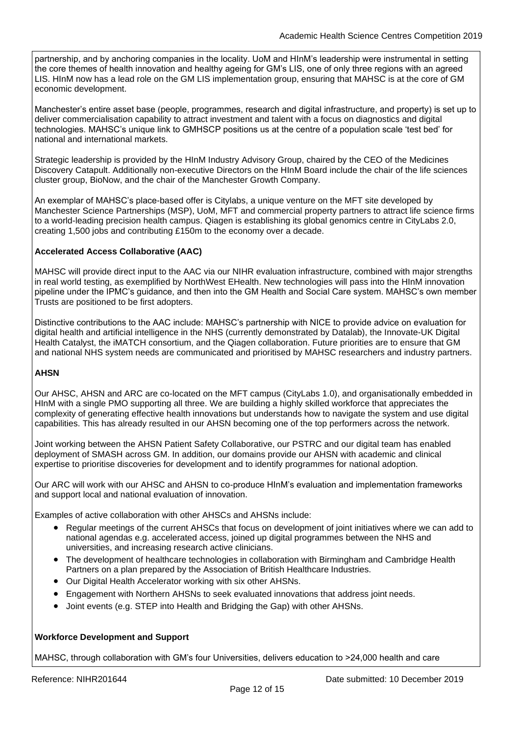partnership, and by anchoring companies in the locality. UoM and HInM's leadership were instrumental in setting the core themes of health innovation and healthy ageing for GM's LIS, one of only three regions with an agreed LIS. HInM now has a lead role on the GM LIS implementation group, ensuring that MAHSC is at the core of GM economic development.

Manchester's entire asset base (people, programmes, research and digital infrastructure, and property) is set up to deliver commercialisation capability to attract investment and talent with a focus on diagnostics and digital technologies. MAHSC's unique link to GMHSCP positions us at the centre of a population scale 'test bed' for national and international markets.

Strategic leadership is provided by the HInM Industry Advisory Group, chaired by the CEO of the Medicines Discovery Catapult. Additionally non-executive Directors on the HInM Board include the chair of the life sciences cluster group, BioNow, and the chair of the Manchester Growth Company.

An exemplar of MAHSC's place-based offer is Citylabs, a unique venture on the MFT site developed by Manchester Science Partnerships (MSP), UoM, MFT and commercial property partners to attract life science firms to a world-leading precision health campus. Qiagen is establishing its global genomics centre in CityLabs 2.0, creating 1,500 jobs and contributing £150m to the economy over a decade.

#### **Accelerated Access Collaborative (AAC)**

MAHSC will provide direct input to the AAC via our NIHR evaluation infrastructure, combined with major strengths in real world testing, as exemplified by NorthWest EHealth. New technologies will pass into the HInM innovation pipeline under the IPMC's guidance, and then into the GM Health and Social Care system. MAHSC's own member Trusts are positioned to be first adopters.

Distinctive contributions to the AAC include: MAHSC's partnership with NICE to provide advice on evaluation for digital health and artificial intelligence in the NHS (currently demonstrated by Datalab), the Innovate-UK Digital Health Catalyst, the iMATCH consortium, and the Qiagen collaboration. Future priorities are to ensure that GM and national NHS system needs are communicated and prioritised by MAHSC researchers and industry partners.

#### **AHSN**

Our AHSC, AHSN and ARC are co-located on the MFT campus (CityLabs 1.0), and organisationally embedded in HInM with a single PMO supporting all three. We are building a highly skilled workforce that appreciates the complexity of generating effective health innovations but understands how to navigate the system and use digital capabilities. This has already resulted in our AHSN becoming one of the top performers across the network.

Joint working between the AHSN Patient Safety Collaborative, our PSTRC and our digital team has enabled deployment of SMASH across GM. In addition, our domains provide our AHSN with academic and clinical expertise to prioritise discoveries for development and to identify programmes for national adoption.

Our ARC will work with our AHSC and AHSN to co-produce HInM's evaluation and implementation frameworks and support local and national evaluation of innovation.

Examples of active collaboration with other AHSCs and AHSNs include:

- Regular meetings of the current AHSCs that focus on development of joint initiatives where we can add to national agendas e.g. accelerated access, joined up digital programmes between the NHS and universities, and increasing research active clinicians.
- The development of healthcare technologies in collaboration with Birmingham and Cambridge Health Partners on a plan prepared by the Association of British Healthcare Industries.
- Our Digital Health Accelerator working with six other AHSNs.
- Engagement with Northern AHSNs to seek evaluated innovations that address joint needs.
- Joint events (e.g. STEP into Health and Bridging the Gap) with other AHSNs.

#### **Workforce Development and Support**

MAHSC, through collaboration with GM's four Universities, delivers education to >24,000 health and care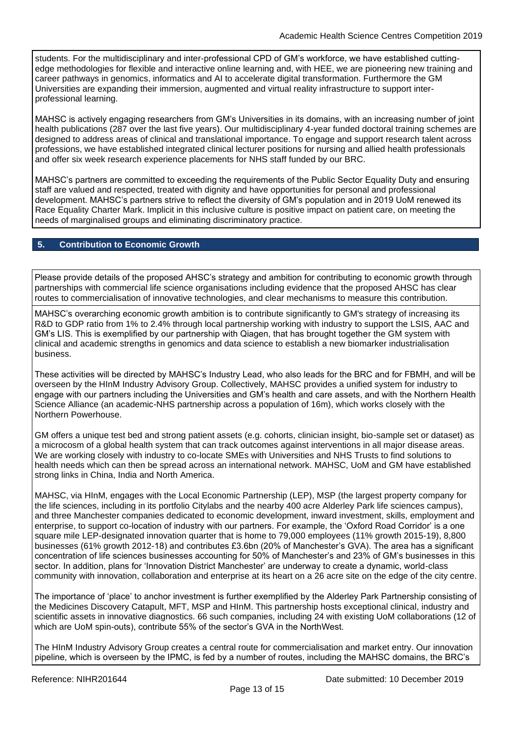students. For the multidisciplinary and inter-professional CPD of GM's workforce, we have established cuttingedge methodologies for flexible and interactive online learning and, with HEE, we are pioneering new training and career pathways in genomics, informatics and AI to accelerate digital transformation. Furthermore the GM Universities are expanding their immersion, augmented and virtual reality infrastructure to support interprofessional learning.

MAHSC is actively engaging researchers from GM's Universities in its domains, with an increasing number of joint health publications (287 over the last five years). Our multidisciplinary 4-year funded doctoral training schemes are designed to address areas of clinical and translational importance. To engage and support research talent across professions, we have established integrated clinical lecturer positions for nursing and allied health professionals and offer six week research experience placements for NHS staff funded by our BRC.

MAHSC's partners are committed to exceeding the requirements of the Public Sector Equality Duty and ensuring staff are valued and respected, treated with dignity and have opportunities for personal and professional development. MAHSC's partners strive to reflect the diversity of GM's population and in 2019 UoM renewed its Race Equality Charter Mark. Implicit in this inclusive culture is positive impact on patient care, on meeting the needs of marginalised groups and eliminating discriminatory practice.

#### <span id="page-12-0"></span>**5. Contribution to Economic Growth**

Please provide details of the proposed AHSC's strategy and ambition for contributing to economic growth through partnerships with commercial life science organisations including evidence that the proposed AHSC has clear routes to commercialisation of innovative technologies, and clear mechanisms to measure this contribution.

MAHSC's overarching economic growth ambition is to contribute significantly to GM's strategy of increasing its R&D to GDP ratio from 1% to 2.4% through local partnership working with industry to support the LSIS, AAC and GM's LIS. This is exemplified by our partnership with Qiagen, that has brought together the GM system with clinical and academic strengths in genomics and data science to establish a new biomarker industrialisation business.

These activities will be directed by MAHSC's Industry Lead, who also leads for the BRC and for FBMH, and will be overseen by the HInM Industry Advisory Group. Collectively, MAHSC provides a unified system for industry to engage with our partners including the Universities and GM's health and care assets, and with the Northern Health Science Alliance (an academic-NHS partnership across a population of 16m), which works closely with the Northern Powerhouse.

GM offers a unique test bed and strong patient assets (e.g. cohorts, clinician insight, bio-sample set or dataset) as a microcosm of a global health system that can track outcomes against interventions in all major disease areas. We are working closely with industry to co-locate SMEs with Universities and NHS Trusts to find solutions to health needs which can then be spread across an international network. MAHSC, UoM and GM have established strong links in China, India and North America.

MAHSC, via HInM, engages with the Local Economic Partnership (LEP), MSP (the largest property company for the life sciences, including in its portfolio Citylabs and the nearby 400 acre Alderley Park life sciences campus), and three Manchester companies dedicated to economic development, inward investment, skills, employment and enterprise, to support co-location of industry with our partners. For example, the 'Oxford Road Corridor' is a one square mile LEP-designated innovation quarter that is home to 79,000 employees (11% growth 2015-19), 8,800 businesses (61% growth 2012-18) and contributes £3.6bn (20% of Manchester's GVA). The area has a significant concentration of life sciences businesses accounting for 50% of Manchester's and 23% of GM's businesses in this sector. In addition, plans for 'Innovation District Manchester' are underway to create a dynamic, world-class community with innovation, collaboration and enterprise at its heart on a 26 acre site on the edge of the city centre.

The importance of 'place' to anchor investment is further exemplified by the Alderley Park Partnership consisting of the Medicines Discovery Catapult, MFT, MSP and HInM. This partnership hosts exceptional clinical, industry and scientific assets in innovative diagnostics. 66 such companies, including 24 with existing UoM collaborations (12 of which are UoM spin-outs), contribute 55% of the sector's GVA in the NorthWest.

The HInM Industry Advisory Group creates a central route for commercialisation and market entry. Our innovation pipeline, which is overseen by the IPMC, is fed by a number of routes, including the MAHSC domains, the BRC's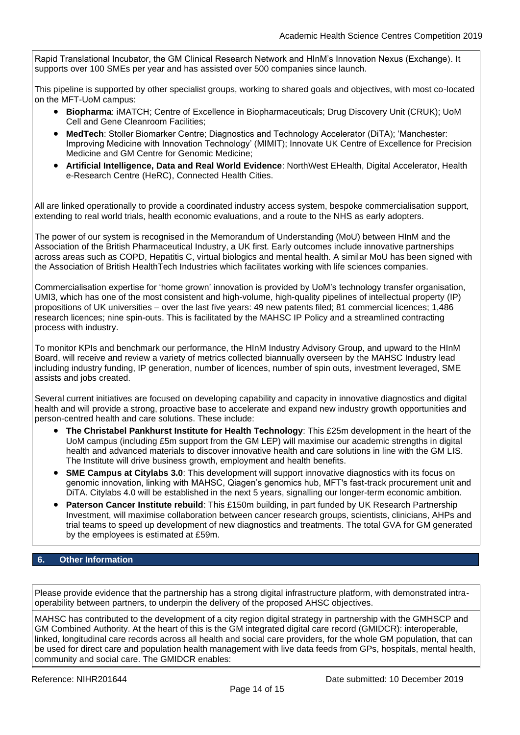Rapid Translational Incubator, the GM Clinical Research Network and HInM's Innovation Nexus (Exchange). It supports over 100 SMEs per year and has assisted over 500 companies since launch.

This pipeline is supported by other specialist groups, working to shared goals and objectives, with most co-located on the MFT-UoM campus:

- **Biopharma**: iMATCH; Centre of Excellence in Biopharmaceuticals; Drug Discovery Unit (CRUK); UoM Cell and Gene Cleanroom Facilities;
- **MedTech**: Stoller Biomarker Centre; Diagnostics and Technology Accelerator (DiTA); 'Manchester: Improving Medicine with Innovation Technology' (MIMIT); Innovate UK Centre of Excellence for Precision Medicine and GM Centre for Genomic Medicine;
- **Artificial Intelligence, Data and Real World Evidence**: NorthWest EHealth, Digital Accelerator, Health e-Research Centre (HeRC), Connected Health Cities.

All are linked operationally to provide a coordinated industry access system, bespoke commercialisation support, extending to real world trials, health economic evaluations, and a route to the NHS as early adopters.

The power of our system is recognised in the Memorandum of Understanding (MoU) between HInM and the Association of the British Pharmaceutical Industry, a UK first. Early outcomes include innovative partnerships across areas such as COPD, Hepatitis C, virtual biologics and mental health. A similar MoU has been signed with the Association of British HealthTech Industries which facilitates working with life sciences companies.

Commercialisation expertise for 'home grown' innovation is provided by UoM's technology transfer organisation, UMI3, which has one of the most consistent and high-volume, high-quality pipelines of intellectual property (IP) propositions of UK universities – over the last five years: 49 new patents filed; 81 commercial licences; 1,486 research licences; nine spin-outs. This is facilitated by the MAHSC IP Policy and a streamlined contracting process with industry.

To monitor KPIs and benchmark our performance, the HInM Industry Advisory Group, and upward to the HInM Board, will receive and review a variety of metrics collected biannually overseen by the MAHSC Industry lead including industry funding, IP generation, number of licences, number of spin outs, investment leveraged, SME assists and jobs created.

Several current initiatives are focused on developing capability and capacity in innovative diagnostics and digital health and will provide a strong, proactive base to accelerate and expand new industry growth opportunities and person-centred health and care solutions. These include:

- **The Christabel Pankhurst Institute for Health Technology**: This £25m development in the heart of the UoM campus (including £5m support from the GM LEP) will maximise our academic strengths in digital health and advanced materials to discover innovative health and care solutions in line with the GM LIS. The Institute will drive business growth, employment and health benefits.
- **SME Campus at Citylabs 3.0**: This development will support innovative diagnostics with its focus on genomic innovation, linking with MAHSC, Qiagen's genomics hub, MFT's fast-track procurement unit and DiTA. Citylabs 4.0 will be established in the next 5 years, signalling our longer-term economic ambition.
- **Paterson Cancer Institute rebuild**: This £150m building, in part funded by UK Research Partnership Investment, will maximise collaboration between cancer research groups, scientists, clinicians, AHPs and trial teams to speed up development of new diagnostics and treatments. The total GVA for GM generated by the employees is estimated at £59m.

#### <span id="page-13-0"></span>**6. Other Information**

Please provide evidence that the partnership has a strong digital infrastructure platform, with demonstrated intraoperability between partners, to underpin the delivery of the proposed AHSC objectives.

MAHSC has contributed to the development of a city region digital strategy in partnership with the GMHSCP and GM Combined Authority. At the heart of this is the GM integrated digital care record (GMIDCR): interoperable, linked, longitudinal care records across all health and social care providers, for the whole GM population, that can be used for direct care and population health management with live data feeds from GPs, hospitals, mental health, community and social care. The GMIDCR enables: